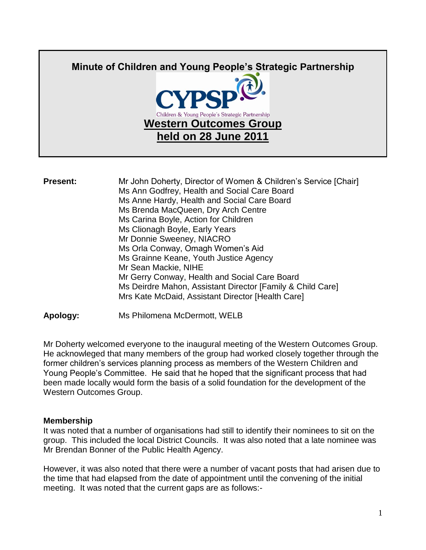

**Present:** Mr John Doherty, Director of Women & Children's Service [Chair] Ms Ann Godfrey, Health and Social Care Board Ms Anne Hardy, Health and Social Care Board Ms Brenda MacQueen, Dry Arch Centre Ms Carina Boyle, Action for Children Ms Clionagh Boyle, Early Years Mr Donnie Sweeney, NIACRO Ms Orla Conway, Omagh Women's Aid Ms Grainne Keane, Youth Justice Agency Mr Sean Mackie, NIHE Mr Gerry Conway, Health and Social Care Board Ms Deirdre Mahon, Assistant Director [Family & Child Care] Mrs Kate McDaid, Assistant Director [Health Care]

**Apology:** Ms Philomena McDermott, WELB

Mr Doherty welcomed everyone to the inaugural meeting of the Western Outcomes Group. He acknowleged that many members of the group had worked closely together through the former children's services planning process as members of the Western Children and Young People's Committee. He said that he hoped that the significant process that had been made locally would form the basis of a solid foundation for the development of the Western Outcomes Group.

## **Membership**

It was noted that a number of organisations had still to identify their nominees to sit on the group. This included the local District Councils. It was also noted that a late nominee was Mr Brendan Bonner of the Public Health Agency.

However, it was also noted that there were a number of vacant posts that had arisen due to the time that had elapsed from the date of appointment until the convening of the initial meeting. It was noted that the current gaps are as follows:-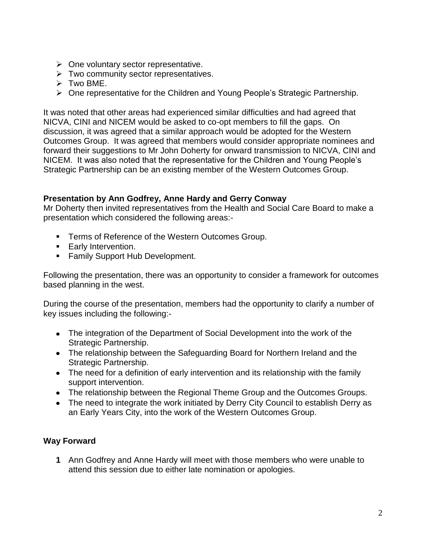- $\triangleright$  One voluntary sector representative.
- $\triangleright$  Two community sector representatives.
- $\triangleright$  Two BME.
- One representative for the Children and Young People's Strategic Partnership.

It was noted that other areas had experienced similar difficulties and had agreed that NICVA, CINI and NICEM would be asked to co-opt members to fill the gaps. On discussion, it was agreed that a similar approach would be adopted for the Western Outcomes Group. It was agreed that members would consider appropriate nominees and forward their suggestions to Mr John Doherty for onward transmission to NICVA, CINI and NICEM. It was also noted that the representative for the Children and Young People's Strategic Partnership can be an existing member of the Western Outcomes Group.

## **Presentation by Ann Godfrey, Anne Hardy and Gerry Conway**

Mr Doherty then invited representatives from the Health and Social Care Board to make a presentation which considered the following areas:-

- **Terms of Reference of the Western Outcomes Group.**
- **Early Intervention.**
- **Family Support Hub Development.**

Following the presentation, there was an opportunity to consider a framework for outcomes based planning in the west.

During the course of the presentation, members had the opportunity to clarify a number of key issues including the following:-

- The integration of the Department of Social Development into the work of the Strategic Partnership.
- The relationship between the Safeguarding Board for Northern Ireland and the Strategic Partnership.
- The need for a definition of early intervention and its relationship with the family support intervention.
- The relationship between the Regional Theme Group and the Outcomes Groups.
- The need to integrate the work initiated by Derry City Council to establish Derry as an Early Years City, into the work of the Western Outcomes Group.

## **Way Forward**

**1** Ann Godfrey and Anne Hardy will meet with those members who were unable to attend this session due to either late nomination or apologies.